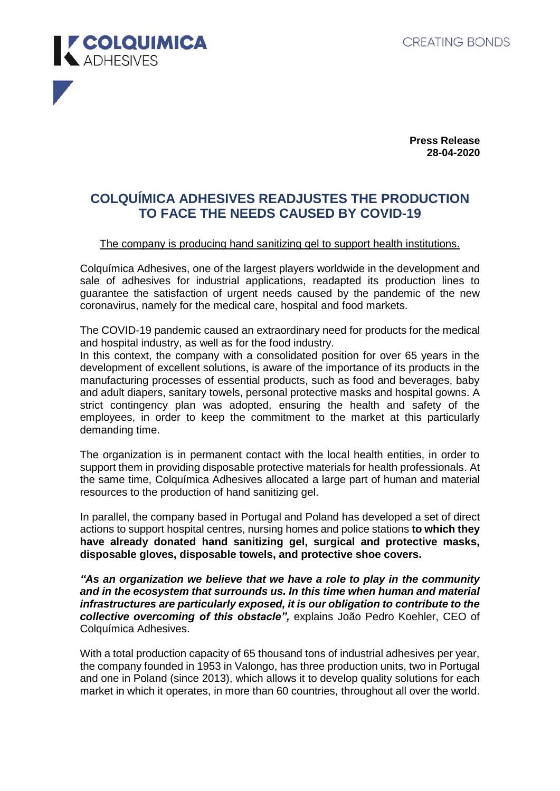

**Press Release 28-04-2020** 

## **COLQUÍMICA ADHESIVES READJUSTES THE PRODUCTION TO FACE THE NEEDS CAUSED BY COVID-19**

## The company is producing hand sanitizing gel to support health institutions.

Colquímica Adhesives, one of the largest players worldwide in the development and sale of adhesives for industrial applications, readapted its production lines to guarantee the satisfaction of urgent needs caused by the pandemic of the new coronavirus, namely for the medical care, hospital and food markets.

The COVID-19 pandemic caused an extraordinary need for products for the medical and hospital industry, as well as for the food industry.

In this context, the company with a consolidated position for over 65 years in the development of excellent solutions, is aware of the importance of its products in the manufacturing processes of essential products, such as food and beverages, baby and adult diapers, sanitary towels, personal protective masks and hospital gowns. A strict contingency plan was adopted, ensuring the health and safety of the employees, in order to keep the commitment to the market at this particularly demanding time.

The organization is in permanent contact with the local health entities, in order to support them in providing disposable protective materials for health professionals. At the same time, Colquímica Adhesives allocated a large part of human and material resources to the production of hand sanitizing gel.

In parallel, the company based in Portugal and Poland has developed a set of direct actions to support hospital centres, nursing homes and police stations **to which they have already donated hand sanitizing gel, surgical and protective masks, disposable gloves, disposable towels, and protective shoe covers.**

*"As an organization we believe that we have a role to play in the community and in the ecosystem that surrounds us. In this time when human and material infrastructures are particularly exposed, it is our obligation to contribute to the collective overcoming of this obstacle",* explains João Pedro Koehler, CEO of Colquímica Adhesives.

With a total production capacity of 65 thousand tons of industrial adhesives per year, the company founded in 1953 in Valongo, has three production units, two in Portugal and one in Poland (since 2013), which allows it to develop quality solutions for each market in which it operates, in more than 60 countries, throughout all over the world.